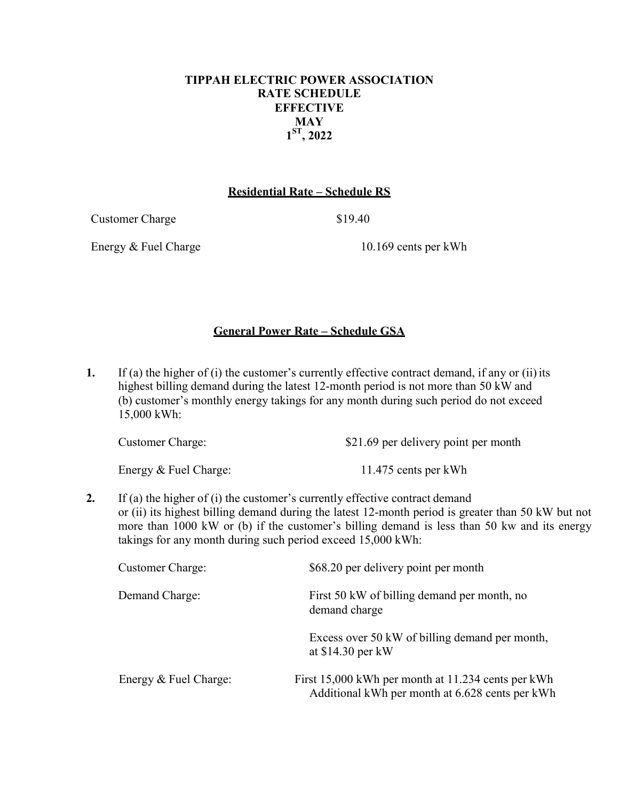## **TIPPAH ELECTRIC POWER ASSOCIATION RATE SCHEDULE EFFECTIVE MAY 1ST, 2022**

#### **Residential Rate – Schedule RS**

Customer Charge \$19.40

Energy & Fuel Charge 10.169 cents per kWh

## **General Power Rate – Schedule GSA**

**1.** If (a) the higher of (i) the customer's currently effective contract demand, if any or (ii) its highest billing demand during the latest 12-month period is not more than 50 kW and (b) customer's monthly energy takings for any month during such period do not exceed 15,000 kWh:

| <b>Customer Charge:</b> | \$21.69 per delivery point per month |
|-------------------------|--------------------------------------|
| Energy & Fuel Charge:   | 11.475 cents per kWh                 |

**2.** If (a) the higher of (i) the customer's currently effective contract demand or (ii) its highest billing demand during the latest 12-month period is greater than 50 kW but not more than 1000 kW or (b) if the customer's billing demand is less than 50 kw and its energy takings for any month during such period exceed 15,000 kWh:

| <b>Customer Charge:</b> | \$68.20 per delivery point per month                                                                  |  |
|-------------------------|-------------------------------------------------------------------------------------------------------|--|
| Demand Charge:          | First 50 kW of billing demand per month, no<br>demand charge                                          |  |
|                         | Excess over 50 kW of billing demand per month,<br>at $$14.30$ per kW                                  |  |
| Energy & Fuel Charge:   | First 15,000 kWh per month at 11.234 cents per kWh<br>Additional kWh per month at 6.628 cents per kWh |  |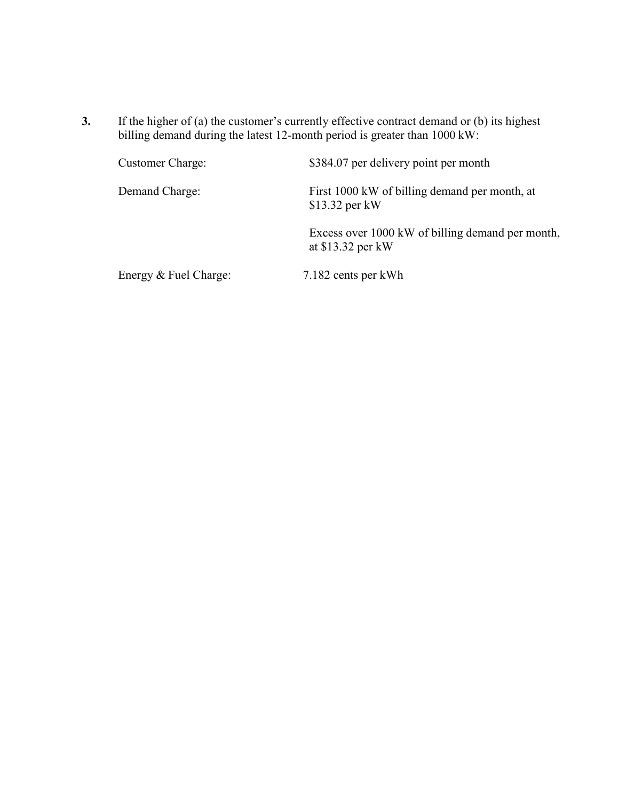**3.** If the higher of (a) the customer's currently effective contract demand or (b) its highest billing demand during the latest 12-month period is greater than 1000 kW:

| <b>Customer Charge:</b> | \$384.07 per delivery point per month                                  |
|-------------------------|------------------------------------------------------------------------|
| Demand Charge:          | First 1000 kW of billing demand per month, at<br>\$13.32 per kW        |
|                         | Excess over 1000 kW of billing demand per month,<br>at $$13.32$ per kW |
| Energy & Fuel Charge:   | 7.182 cents per kWh                                                    |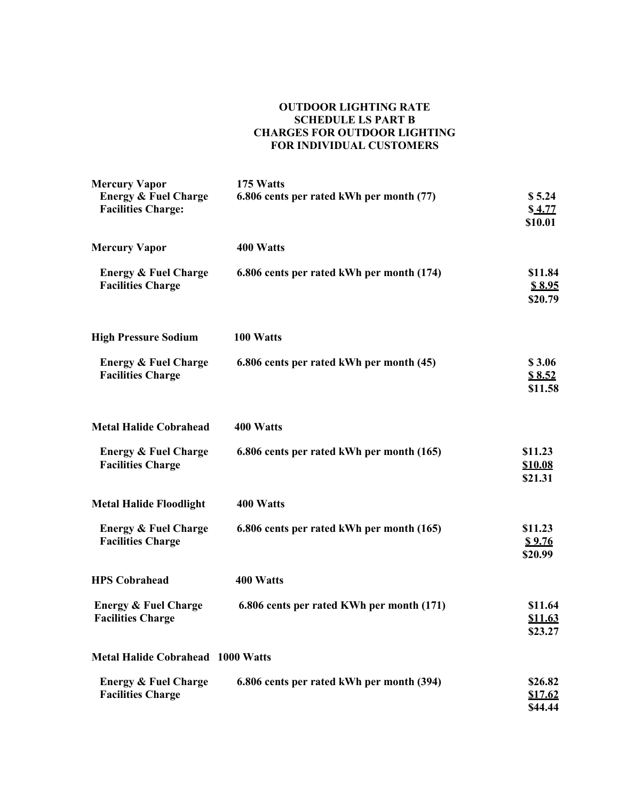#### **OUTDOOR LIGHTING RATE SCHEDULE LS PART B CHARGES FOR OUTDOOR LIGHTING FOR INDIVIDUAL CUSTOMERS**

| <b>Mercury Vapor</b>                                         | 175 Watts                                 |                                      |
|--------------------------------------------------------------|-------------------------------------------|--------------------------------------|
| <b>Energy &amp; Fuel Charge</b><br><b>Facilities Charge:</b> | 6.806 cents per rated kWh per month (77)  | \$5.24<br>\$4.77<br>\$10.01          |
| <b>Mercury Vapor</b>                                         | 400 Watts                                 |                                      |
| <b>Energy &amp; Fuel Charge</b><br><b>Facilities Charge</b>  | 6.806 cents per rated kWh per month (174) | \$11.84<br>\$8.95<br>\$20.79         |
| <b>High Pressure Sodium</b>                                  | 100 Watts                                 |                                      |
| <b>Energy &amp; Fuel Charge</b><br><b>Facilities Charge</b>  | 6.806 cents per rated kWh per month (45)  | \$3.06<br>\$8.52<br>\$11.58          |
| <b>Metal Halide Cobrahead</b>                                | 400 Watts                                 |                                      |
| <b>Energy &amp; Fuel Charge</b><br><b>Facilities Charge</b>  | 6.806 cents per rated kWh per month (165) | \$11.23<br>\$10.08<br>\$21.31        |
| <b>Metal Halide Floodlight</b>                               | 400 Watts                                 |                                      |
| <b>Energy &amp; Fuel Charge</b><br><b>Facilities Charge</b>  | 6.806 cents per rated kWh per month (165) | \$11.23<br><u>\$9.76</u><br>\$20.99  |
| <b>HPS Cobrahead</b>                                         | 400 Watts                                 |                                      |
| <b>Energy &amp; Fuel Charge</b><br><b>Facilities Charge</b>  | 6.806 cents per rated KWh per month (171) | \$11.64<br><u>\$11.63</u><br>\$23.27 |
| <b>Metal Halide Cobrahead 1000 Watts</b>                     |                                           |                                      |
| <b>Energy &amp; Fuel Charge</b><br><b>Facilities Charge</b>  | 6.806 cents per rated kWh per month (394) | \$26.82<br>\$17.62<br>\$44.44        |